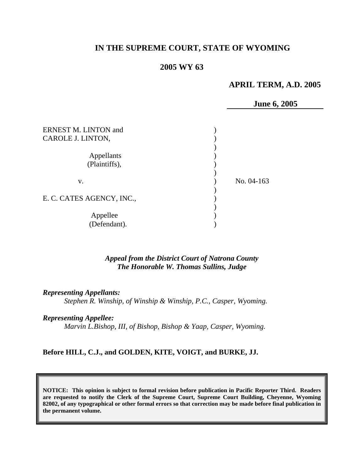# **IN THE SUPREME COURT, STATE OF WYOMING**

# **2005 WY 63**

# **APRIL TERM, A.D. 2005**

**June 6, 2005** 

| <b>ERNEST M. LINTON and</b><br>CAROLE J. LINTON, |            |  |
|--------------------------------------------------|------------|--|
| Appellants<br>(Plaintiffs),                      |            |  |
| v.                                               | No. 04-163 |  |
| E. C. CATES AGENCY, INC.,                        |            |  |
| Appellee<br>(Defendant).                         |            |  |

# *Appeal from the District Court of Natrona County The Honorable W. Thomas Sullins, Judge*

#### *Representing Appellants:*

*Stephen R. Winship, of Winship & Winship, P.C., Casper, Wyoming.* 

### *Representing Appellee:*

*Marvin L.Bishop, III, of Bishop, Bishop & Yaap, Casper, Wyoming.* 

#### **Before HILL, C.J., and GOLDEN, KITE, VOIGT, and BURKE, JJ.**

**NOTICE: This opinion is subject to formal revision before publication in Pacific Reporter Third. Readers are requested to notify the Clerk of the Supreme Court, Supreme Court Building, Cheyenne, Wyoming 82002, of any typographical or other formal errors so that correction may be made before final publication in the permanent volume.**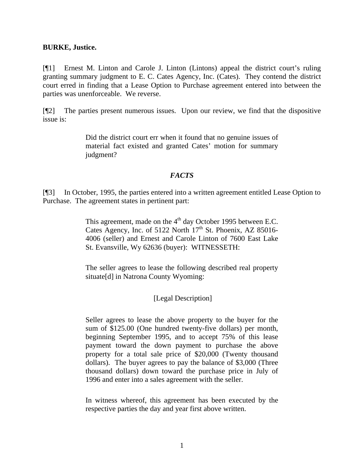#### **BURKE, Justice.**

[¶1] Ernest M. Linton and Carole J. Linton (Lintons) appeal the district court's ruling granting summary judgment to E. C. Cates Agency, Inc. (Cates). They contend the district court erred in finding that a Lease Option to Purchase agreement entered into between the parties was unenforceable. We reverse.

[¶2] The parties present numerous issues. Upon our review, we find that the dispositive issue is:

> Did the district court err when it found that no genuine issues of material fact existed and granted Cates' motion for summary judgment?

### *FACTS*

[¶3] In October, 1995, the parties entered into a written agreement entitled Lease Option to Purchase. The agreement states in pertinent part:

> This agreement, made on the 4<sup>th</sup> day October 1995 between E.C. Cates Agency, Inc. of 5122 North  $17<sup>th</sup>$  St. Phoenix, AZ 85016-4006 (seller) and Ernest and Carole Linton of 7600 East Lake St. Evansville, Wy 62636 (buyer): WITNESSETH:

> The seller agrees to lease the following described real property situate<sup>[d]</sup> in Natrona County Wyoming:

## [Legal Description]

Seller agrees to lease the above property to the buyer for the sum of \$125.00 (One hundred twenty-five dollars) per month, beginning September 1995, and to accept 75% of this lease payment toward the down payment to purchase the above property for a total sale price of \$20,000 (Twenty thousand dollars). The buyer agrees to pay the balance of \$3,000 (Three thousand dollars) down toward the purchase price in July of 1996 and enter into a sales agreement with the seller.

In witness whereof, this agreement has been executed by the respective parties the day and year first above written.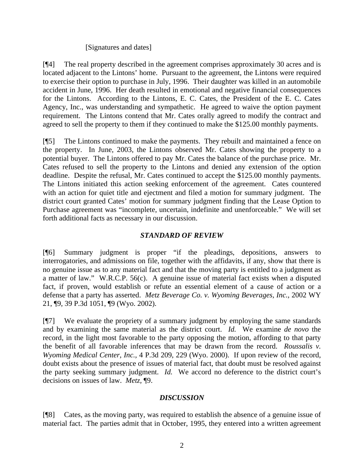### [Signatures and dates]

[¶4] The real property described in the agreement comprises approximately 30 acres and is located adjacent to the Lintons' home. Pursuant to the agreement, the Lintons were required to exercise their option to purchase in July, 1996. Their daughter was killed in an automobile accident in June, 1996. Her death resulted in emotional and negative financial consequences for the Lintons. According to the Lintons, E. C. Cates, the President of the E. C. Cates Agency, Inc., was understanding and sympathetic. He agreed to waive the option payment requirement. The Lintons contend that Mr. Cates orally agreed to modify the contract and agreed to sell the property to them if they continued to make the \$125.00 monthly payments.

[¶5] The Lintons continued to make the payments. They rebuilt and maintained a fence on the property. In June, 2003, the Lintons observed Mr. Cates showing the property to a potential buyer. The Lintons offered to pay Mr. Cates the balance of the purchase price. Mr. Cates refused to sell the property to the Lintons and denied any extension of the option deadline. Despite the refusal, Mr. Cates continued to accept the \$125.00 monthly payments. The Lintons initiated this action seeking enforcement of the agreement. Cates countered with an action for quiet title and ejectment and filed a motion for summary judgment. The district court granted Cates' motion for summary judgment finding that the Lease Option to Purchase agreement was "incomplete, uncertain, indefinite and unenforceable." We will set forth additional facts as necessary in our discussion.

# *STANDARD OF REVIEW*

[¶6] Summary judgment is proper "if the pleadings, depositions, answers to interrogatories, and admissions on file, together with the affidavits, if any, show that there is no genuine issue as to any material fact and that the moving party is entitled to a judgment as a matter of law." W.R.C.P. 56(c). A genuine issue of material fact exists when a disputed fact, if proven, would establish or refute an essential element of a cause of action or a defense that a party has asserted. *Metz Beverage Co. v. Wyoming Beverages, Inc.,* 2002 WY 21, ¶9, 39 P.3d 1051, ¶9 (Wyo. 2002).

[¶7] We evaluate the propriety of a summary judgment by employing the same standards and by examining the same material as the district court. *Id.* We examine *de novo* the record, in the light most favorable to the party opposing the motion, affording to that party the benefit of all favorable inferences that may be drawn from the record. *Roussalis v. Wyoming Medical Center, Inc.,* 4 P.3d 209, 229 (Wyo. 2000). If upon review of the record, doubt exists about the presence of issues of material fact, that doubt must be resolved against the party seeking summary judgment. *Id.* We accord no deference to the district court's decisions on issues of law. *Metz,* ¶9.

## *DISCUSSION*

[¶8] Cates, as the moving party, was required to establish the absence of a genuine issue of material fact. The parties admit that in October, 1995, they entered into a written agreement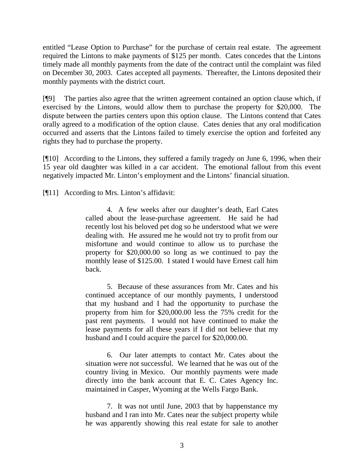entitled "Lease Option to Purchase" for the purchase of certain real estate. The agreement required the Lintons to make payments of \$125 per month. Cates concedes that the Lintons timely made all monthly payments from the date of the contract until the complaint was filed on December 30, 2003. Cates accepted all payments. Thereafter, the Lintons deposited their monthly payments with the district court.

[¶9] The parties also agree that the written agreement contained an option clause which, if exercised by the Lintons, would allow them to purchase the property for \$20,000. The dispute between the parties centers upon this option clause. The Lintons contend that Cates orally agreed to a modification of the option clause. Cates denies that any oral modification occurred and asserts that the Lintons failed to timely exercise the option and forfeited any rights they had to purchase the property.

[¶10] According to the Lintons, they suffered a family tragedy on June 6, 1996, when their 15 year old daughter was killed in a car accident. The emotional fallout from this event negatively impacted Mr. Linton's employment and the Lintons' financial situation.

[¶11] According to Mrs. Linton's affidavit:

4. A few weeks after our daughter's death, Earl Cates called about the lease-purchase agreement. He said he had recently lost his beloved pet dog so he understood what we were dealing with. He assured me he would not try to profit from our misfortune and would continue to allow us to purchase the property for \$20,000.00 so long as we continued to pay the monthly lease of \$125.00. I stated I would have Ernest call him back.

5. Because of these assurances from Mr. Cates and his continued acceptance of our monthly payments, I understood that my husband and I had the opportunity to purchase the property from him for \$20,000.00 less the 75% credit for the past rent payments. I would not have continued to make the lease payments for all these years if I did not believe that my husband and I could acquire the parcel for \$20,000.00.

6. Our later attempts to contact Mr. Cates about the situation were not successful. We learned that he was out of the country living in Mexico. Our monthly payments were made directly into the bank account that E. C. Cates Agency Inc. maintained in Casper, Wyoming at the Wells Fargo Bank.

7. It was not until June, 2003 that by happenstance my husband and I ran into Mr. Cates near the subject property while he was apparently showing this real estate for sale to another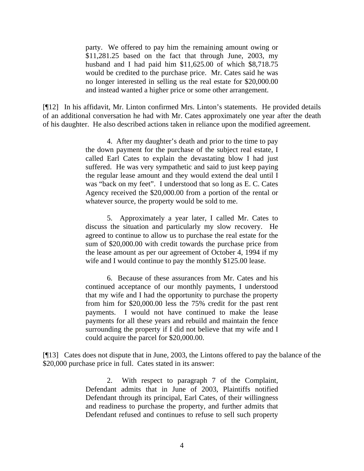party. We offered to pay him the remaining amount owing or \$11,281.25 based on the fact that through June, 2003, my husband and I had paid him \$11,625.00 of which \$8,718.75 would be credited to the purchase price. Mr. Cates said he was no longer interested in selling us the real estate for \$20,000.00 and instead wanted a higher price or some other arrangement.

[¶12] In his affidavit, Mr. Linton confirmed Mrs. Linton's statements. He provided details of an additional conversation he had with Mr. Cates approximately one year after the death of his daughter. He also described actions taken in reliance upon the modified agreement.

> 4. After my daughter's death and prior to the time to pay the down payment for the purchase of the subject real estate, I called Earl Cates to explain the devastating blow I had just suffered. He was very sympathetic and said to just keep paying the regular lease amount and they would extend the deal until I was "back on my feet". I understood that so long as E. C. Cates Agency received the \$20,000.00 from a portion of the rental or whatever source, the property would be sold to me.

> 5. Approximately a year later, I called Mr. Cates to discuss the situation and particularly my slow recovery. He agreed to continue to allow us to purchase the real estate for the sum of \$20,000.00 with credit towards the purchase price from the lease amount as per our agreement of October 4, 1994 if my wife and I would continue to pay the monthly \$125.00 lease.

> 6. Because of these assurances from Mr. Cates and his continued acceptance of our monthly payments, I understood that my wife and I had the opportunity to purchase the property from him for \$20,000.00 less the 75% credit for the past rent payments. I would not have continued to make the lease payments for all these years and rebuild and maintain the fence surrounding the property if I did not believe that my wife and I could acquire the parcel for \$20,000.00.

[¶13] Cates does not dispute that in June, 2003, the Lintons offered to pay the balance of the \$20,000 purchase price in full. Cates stated in its answer:

> 2. With respect to paragraph 7 of the Complaint, Defendant admits that in June of 2003, Plaintiffs notified Defendant through its principal, Earl Cates, of their willingness and readiness to purchase the property, and further admits that Defendant refused and continues to refuse to sell such property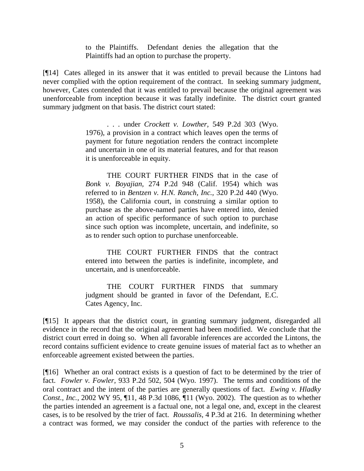to the Plaintiffs. Defendant denies the allegation that the Plaintiffs had an option to purchase the property.

[¶14] Cates alleged in its answer that it was entitled to prevail because the Lintons had never complied with the option requirement of the contract. In seeking summary judgment, however, Cates contended that it was entitled to prevail because the original agreement was unenforceable from inception because it was fatally indefinite. The district court granted summary judgment on that basis. The district court stated:

> . . . under *Crockett v. Lowther,* 549 P.2d 303 (Wyo. 1976), a provision in a contract which leaves open the terms of payment for future negotiation renders the contract incomplete and uncertain in one of its material features, and for that reason it is unenforceable in equity.

> THE COURT FURTHER FINDS that in the case of *Bonk v. Boyajian,* 274 P.2d 948 (Calif. 1954) which was referred to in *Bentzen v. H.N. Ranch, Inc.,* 320 P.2d 440 (Wyo. 1958), the California court, in construing a similar option to purchase as the above-named parties have entered into, denied an action of specific performance of such option to purchase since such option was incomplete, uncertain, and indefinite, so as to render such option to purchase unenforceable.

> THE COURT FURTHER FINDS that the contract entered into between the parties is indefinite, incomplete, and uncertain, and is unenforceable.

> THE COURT FURTHER FINDS that summary judgment should be granted in favor of the Defendant, E.C. Cates Agency, Inc.

[¶15] It appears that the district court, in granting summary judgment, disregarded all evidence in the record that the original agreement had been modified. We conclude that the district court erred in doing so. When all favorable inferences are accorded the Lintons, the record contains sufficient evidence to create genuine issues of material fact as to whether an enforceable agreement existed between the parties.

[¶16] Whether an oral contract exists is a question of fact to be determined by the trier of fact. *Fowler v. Fowler,* 933 P.2d 502, 504 (Wyo. 1997). The terms and conditions of the oral contract and the intent of the parties are generally questions of fact. *Ewing v. Hladky Const., Inc.*, 2002 WY 95, ¶11, 48 P.3d 1086, ¶11 (Wyo. 2002). The question as to whether the parties intended an agreement is a factual one, not a legal one, and, except in the clearest cases, is to be resolved by the trier of fact. *Roussalis,* 4 P.3d at 216. In determining whether a contract was formed, we may consider the conduct of the parties with reference to the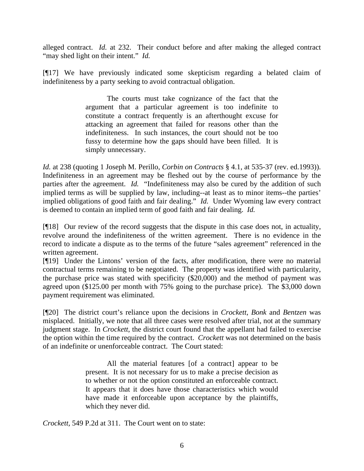alleged contract. *Id.* at 232. Their conduct before and after making the alleged contract "may shed light on their intent." *Id.* 

[¶17] We have previously indicated some skepticism regarding a belated claim of indefiniteness by a party seeking to avoid contractual obligation.

> The courts must take cognizance of the fact that the argument that a particular agreement is too indefinite to constitute a contract frequently is an afterthought excuse for attacking an agreement that failed for reasons other than the indefiniteness. In such instances, the court should not be too fussy to determine how the gaps should have been filled. It is simply unnecessary.

*Id.* at 238 (quoting 1 Joseph M. Perillo, *Corbin on Contracts* § 4.1, at 535-37 (rev. ed.1993)). Indefiniteness in an agreement may be fleshed out by the course of performance by the parties after the agreement. *Id.* "Indefiniteness may also be cured by the addition of such implied terms as will be supplied by law, including--at least as to minor items--the parties' implied obligations of good faith and fair dealing." *Id.* Under Wyoming law every contract is deemed to contain an implied term of good faith and fair dealing. *Id.*

[¶18] Our review of the record suggests that the dispute in this case does not, in actuality, revolve around the indefiniteness of the written agreement. There is no evidence in the record to indicate a dispute as to the terms of the future "sales agreement" referenced in the written agreement.

[¶19] Under the Lintons' version of the facts, after modification, there were no material contractual terms remaining to be negotiated. The property was identified with particularity, the purchase price was stated with specificity (\$20,000) and the method of payment was agreed upon (\$125.00 per month with 75% going to the purchase price). The \$3,000 down payment requirement was eliminated.

[¶20] The district court's reliance upon the decisions in *Crockett*, *Bonk* and *Bentzen* was misplaced. Initially, we note that all three cases were resolved after trial, not at the summary judgment stage. In *Crockett*, the district court found that the appellant had failed to exercise the option within the time required by the contract. *Crockett* was not determined on the basis of an indefinite or unenforceable contract. The Court stated:

> All the material features [of a contract] appear to be present. It is not necessary for us to make a precise decision as to whether or not the option constituted an enforceable contract. It appears that it does have those characteristics which would have made it enforceable upon acceptance by the plaintiffs, which they never did.

*Crockett,* 549 P.2d at 311. The Court went on to state: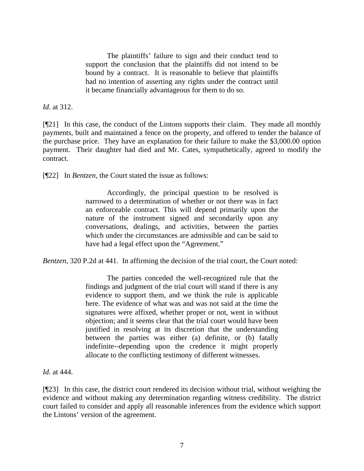The plaintiffs' failure to sign and their conduct tend to support the conclusion that the plaintiffs did not intend to be bound by a contract. It is reasonable to believe that plaintiffs had no intention of asserting any rights under the contract until it became financially advantageous for them to do so.

*Id.* at 312.

[¶21] In this case, the conduct of the Lintons supports their claim. They made all monthly payments, built and maintained a fence on the property, and offered to tender the balance of the purchase price. They have an explanation for their failure to make the \$3,000.00 option payment. Their daughter had died and Mr. Cates, sympathetically, agreed to modify the contract.

[¶22] In *Bentzen*, the Court stated the issue as follows:

Accordingly, the principal question to be resolved is narrowed to a determination of whether or not there was in fact an enforceable contract. This will depend primarily upon the nature of the instrument signed and secondarily upon any conversations, dealings, and activities, between the parties which under the circumstances are admissible and can be said to have had a legal effect upon the "Agreement."

*Bentzen,* 320 P.2d at 441. In affirming the decision of the trial court, the Court noted:

The parties conceded the well-recognized rule that the findings and judgment of the trial court will stand if there is any evidence to support them, and we think the rule is applicable here. The evidence of what was and was not said at the time the signatures were affixed, whether proper or not, went in without objection; and it seems clear that the trial court would have been justified in resolving at its discretion that the understanding between the parties was either (a) definite, or (b) fatally indefinite--depending upon the credence it might properly allocate to the conflicting testimony of different witnesses.

*Id.* at 444.

[¶23] In this case, the district court rendered its decision without trial, without weighing the evidence and without making any determination regarding witness credibility. The district court failed to consider and apply all reasonable inferences from the evidence which support the Lintons' version of the agreement.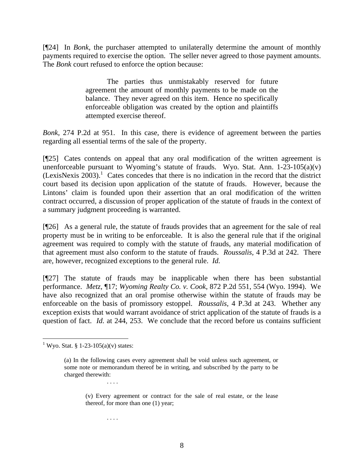[¶24] In *Bonk,* the purchaser attempted to unilaterally determine the amount of monthly payments required to exercise the option. The seller never agreed to those payment amounts. The *Bonk* court refused to enforce the option because:

> The parties thus unmistakably reserved for future agreement the amount of monthly payments to be made on the balance. They never agreed on this item. Hence no specifically enforceable obligation was created by the option and plaintiffs attempted exercise thereof.

*Bonk,* 274 P.2d at 951. In this case, there is evidence of agreement between the parties regarding all essential terms of the sale of the property.

[¶25] Cates contends on appeal that any oral modification of the written agreement is unenforceable pursuant to Wyoming's statute of frauds. Wyo. Stat. Ann.  $1-23-105(a)(v)$  $(LexisNexis 2003).$ <sup>1</sup> Cates concedes that there is no indication in the record that the district court based its decision upon application of the statute of frauds. However, because the Lintons' claim is founded upon their assertion that an oral modification of the written contract occurred, a discussion of proper application of the statute of frauds in the context of a summary judgment proceeding is warranted.

[¶26] As a general rule, the statute of frauds provides that an agreement for the sale of real property must be in writing to be enforceable. It is also the general rule that if the original agreement was required to comply with the statute of frauds, any material modification of that agreement must also conform to the statute of frauds. *Roussalis,* 4 P.3d at 242. There are, however, recognized exceptions to the general rule. *Id.* 

[¶27] The statute of frauds may be inapplicable when there has been substantial performance. *Metz,* ¶17; *Wyoming Realty Co. v. Cook*, 872 P.2d 551, 554 (Wyo. 1994). We have also recognized that an oral promise otherwise within the statute of frauds may be enforceable on the basis of promissory estoppel. *Roussalis,* 4 P.3d at 243. Whether any exception exists that would warrant avoidance of strict application of the statute of frauds is a question of fact. *Id.* at 244, 253. We conclude that the record before us contains sufficient

. . . .

<sup>&</sup>lt;sup>1</sup> Wyo. Stat. § 1-23-105(a)(v) states:

<sup>(</sup>a) In the following cases every agreement shall be void unless such agreement, or some note or memorandum thereof be in writing, and subscribed by the party to be charged therewith: . . . .

<sup>(</sup>v) Every agreement or contract for the sale of real estate, or the lease thereof, for more than one (1) year;